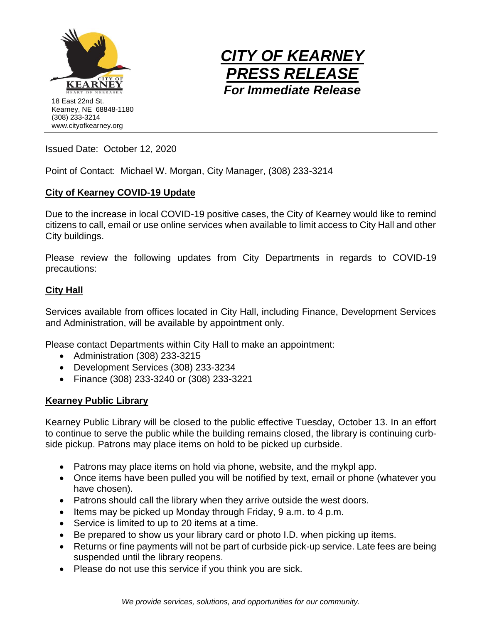



Issued Date: October 12, 2020

Point of Contact: Michael W. Morgan, City Manager, (308) 233-3214

# **City of Kearney COVID-19 Update**

Due to the increase in local COVID-19 positive cases, the City of Kearney would like to remind citizens to call, email or use online services when available to limit access to City Hall and other City buildings.

Please review the following updates from City Departments in regards to COVID-19 precautions:

## **City Hall**

Services available from offices located in City Hall, including Finance, Development Services and Administration, will be available by appointment only.

Please contact Departments within City Hall to make an appointment:

- Administration (308) 233-3215
- Development Services (308) 233-3234
- Finance (308) 233-3240 or (308) 233-3221

## **Kearney Public Library**

Kearney Public Library will be closed to the public effective Tuesday, October 13. In an effort to continue to serve the public while the building remains closed, the library is continuing curbside pickup. Patrons may place items on hold to be picked up curbside.

- Patrons may place items on hold via phone, website, and the mykpl app.
- Once items have been pulled you will be notified by text, email or phone (whatever you have chosen).
- Patrons should call the library when they arrive outside the west doors.
- Items may be picked up Monday through Friday, 9 a.m. to 4 p.m.
- Service is limited to up to 20 items at a time.
- Be prepared to show us your library card or photo I.D. when picking up items.
- Returns or fine payments will not be part of curbside pick-up service. Late fees are being suspended until the library reopens.
- Please do not use this service if you think you are sick.